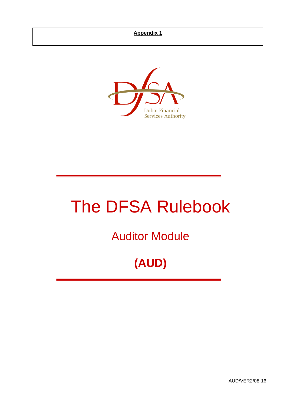

# The DFSA Rulebook

Auditor Module

## **(AUD)**

AUD/VER2/08-16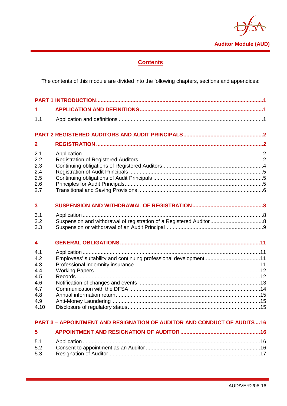

## **Contents**

The contents of this module are divided into the following chapters, sections and appendices:

| 1                                                                              |                                                                  |  |  |  |
|--------------------------------------------------------------------------------|------------------------------------------------------------------|--|--|--|
| 1.1                                                                            |                                                                  |  |  |  |
|                                                                                |                                                                  |  |  |  |
| $\mathbf{2}$                                                                   |                                                                  |  |  |  |
| 2.1<br>2.2<br>2.3<br>2.4<br>2.5<br>2.6<br>2.7                                  |                                                                  |  |  |  |
| $\overline{\mathbf{3}}$<br>3.1<br>3.2                                          |                                                                  |  |  |  |
| 3.3<br>4                                                                       |                                                                  |  |  |  |
| 4.1<br>4.2<br>4.3<br>4.4<br>4.5<br>4.6<br>4.7<br>4.8<br>4.9<br>4.10            | Employees' suitability and continuing professional development11 |  |  |  |
| <b>PART 3 - APPOINTMENT AND RESIGNATION OF AUDITOR AND CONDUCT OF AUDITS16</b> |                                                                  |  |  |  |
| 5                                                                              |                                                                  |  |  |  |

| 5.3 |  |
|-----|--|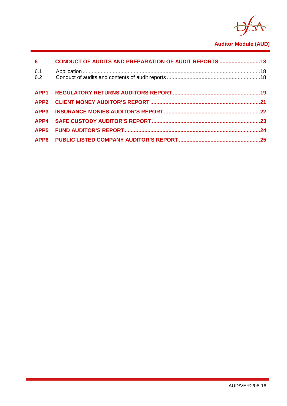

## **Auditor Module (AUD)**

| $6\qquad \qquad$ | <b>CONDUCT OF AUDITS AND PREPARATION OF AUDIT REPORTS  18</b> |  |
|------------------|---------------------------------------------------------------|--|
| 6.1<br>6.2       |                                                               |  |
|                  |                                                               |  |
|                  |                                                               |  |
|                  |                                                               |  |
|                  |                                                               |  |
|                  |                                                               |  |
|                  |                                                               |  |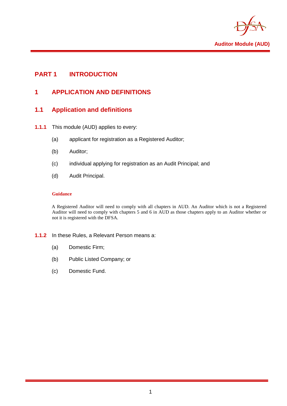

## <span id="page-3-1"></span><span id="page-3-0"></span>**PART 1 INTRODUCTION**

## **1 APPLICATION AND DEFINITIONS**

## <span id="page-3-2"></span>**1.1 Application and definitions**

- **1.1.1** This module (AUD) applies to every:
	- (a) applicant for registration as a Registered Auditor;
	- (b) Auditor;
	- (c) individual applying for registration as an Audit Principal; and
	- (d) Audit Principal.

#### **Guidance**

A Registered Auditor will need to comply with all chapters in AUD. An Auditor which is not a Registered Auditor will need to comply with chapters 5 and 6 in AUD as those chapters apply to an Auditor whether or not it is registered with the DFSA.

#### **1.1.2** In these Rules, a Relevant Person means a:

- (a) Domestic Firm;
- (b) Public Listed Company; or
- (c) Domestic Fund.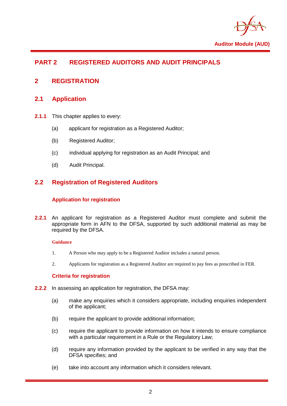

## <span id="page-4-0"></span>**PART 2 REGISTERED AUDITORS AND AUDIT PRINCIPALS**

## <span id="page-4-2"></span><span id="page-4-1"></span>**2 REGISTRATION**

## **2.1 Application**

- **2.1.1** This chapter applies to every:
	- (a) applicant for registration as a Registered Auditor;
	- (b) Registered Auditor;
	- (c) individual applying for registration as an Audit Principal; and
	- (d) Audit Principal.

## <span id="page-4-3"></span>**2.2 Registration of Registered Auditors**

#### **Application for registration**

**2.2.1** An applicant for registration as a Registered Auditor must complete and submit the appropriate form in AFN to the DFSA, supported by such additional material as may be required by the DFSA.

#### **Guidance**

- 1. A Person who may apply to be a Registered Auditor includes a natural person.
- 2. Applicants for registration as a Registered Auditor are required to pay fees as prescribed in FER.

#### **Criteria for registration**

- **2.2.2** In assessing an application for registration, the DFSA may:
	- (a) make any enquiries which it considers appropriate, including enquiries independent of the applicant;
	- (b) require the applicant to provide additional information;
	- (c) require the applicant to provide information on how it intends to ensure compliance with a particular requirement in a Rule or the Requlatory Law:
	- (d) require any information provided by the applicant to be verified in any way that the DFSA specifies; and
	- (e) take into account any information which it considers relevant.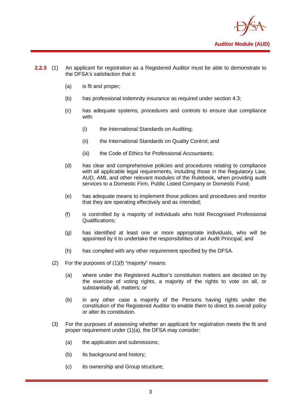

- **2.2.3** (1) An applicant for registration as a Registered Auditor must be able to demonstrate to the DFSA's satisfaction that it:
	- (a) is fit and proper;
	- (b) has professional indemnity insurance as required under section 4.3;
	- (c) has adequate systems, procedures and controls to ensure due compliance with:
		- (i) the International Standards on Auditing;
		- (ii) the International Standards on Quality Control; and
		- (iii) the Code of Ethics for Professional Accountants;
	- (d) has clear and comprehensive policies and procedures relating to compliance with all applicable legal requirements, including those in the Regulatory Law, AUD, AML and other relevant modules of the Rulebook, when providing audit services to a Domestic Firm, Public Listed Company or Domestic Fund;
	- (e) has adequate means to implement those policies and procedures and monitor that they are operating effectively and as intended;
	- (f) is controlled by a majority of individuals who hold Recognised Professional Qualifications;
	- (g) has identified at least one or more appropriate individuals, who will be appointed by it to undertake the responsibilities of an Audit Principal; and
	- (h) has complied with any other requirement specified by the DFSA.
	- (2) For the purposes of (1)(f) "majority" means:
		- (a) where under the Registered Auditor's constitution matters are decided on by the exercise of voting rights, a majority of the rights to vote on all, or substantially all, matters; or
		- (b) in any other case a majority of the Persons having rights under the constitution of the Registered Auditor to enable them to direct its overall policy or alter its constitution.
	- (3) For the purposes of assessing whether an applicant for registration meets the fit and proper requirement under (1)(a), the DFSA may consider:
		- (a) the application and submissions;
		- (b) its background and history;
		- (c) its ownership and Group structure;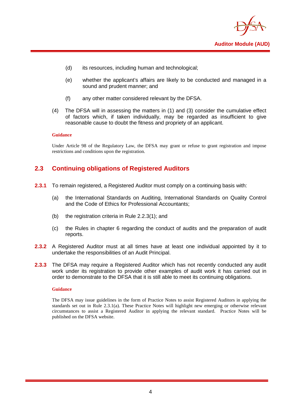

- (d) its resources, including human and technological;
- (e) whether the applicant's affairs are likely to be conducted and managed in a sound and prudent manner; and
- (f) any other matter considered relevant by the DFSA.
- (4) The DFSA will in assessing the matters in (1) and (3) consider the cumulative effect of factors which, if taken individually, may be regarded as insufficient to give reasonable cause to doubt the fitness and propriety of an applicant.

#### **Guidance**

Under Article 98 of the Regulatory Law, the DFSA may grant or refuse to grant registration and impose restrictions and conditions upon the registration.

## <span id="page-6-0"></span>**2.3 Continuing obligations of Registered Auditors**

- **2.3.1** To remain registered, a Registered Auditor must comply on a continuing basis with:
	- (a) the International Standards on Auditing, International Standards on Quality Control and the Code of Ethics for Professional Accountants;
	- (b) the registration criteria in Rule 2.2.3(1); and
	- (c) the Rules in chapter 6 regarding the conduct of audits and the preparation of audit reports.
- **2.3.2** A Registered Auditor must at all times have at least one individual appointed by it to undertake the responsibilities of an Audit Principal.
- **2.3.3** The DFSA may require a Registered Auditor which has not recently conducted any audit work under its registration to provide other examples of audit work it has carried out in order to demonstrate to the DFSA that it is still able to meet its continuing obligations.

#### **Guidance**

The DFSA may issue guidelines in the form of Practice Notes to assist Registered Auditors in applying the standards set out in Rule 2.3.1(a). These Practice Notes will highlight new emerging or otherwise relevant circumstances to assist a Registered Auditor in applying the relevant standard. Practice Notes will be published on the DFSA website.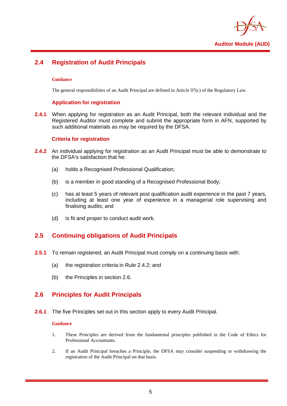

## <span id="page-7-0"></span>**2.4 Registration of Audit Principals**

#### **Guidance**

The general responsibilities of an Audit Principal are defined in Article 97(c) of the Regulatory Law.

#### **Application for registration**

**2.4.1** When applying for registration as an Audit Principal, both the relevant individual and the Registered Auditor must complete and submit the appropriate form in AFN, supported by such additional materials as may be required by the DFSA.

#### **Criteria for registration**

- **2.4.2** An individual applying for registration as an Audit Principal must be able to demonstrate to the DFSA's satisfaction that he:
	- (a) holds a Recognised Professional Qualification;
	- (b) is a member in good standing of a Recognised Professional Body;
	- (c) has at least 5 years of relevant post qualification audit experience in the past 7 years, including at least one year of experience in a managerial role supervising and finalising audits; and
	- (d) is fit and proper to conduct audit work.

## <span id="page-7-1"></span>**2.5 Continuing obligations of Audit Principals**

- **2.5.1** To remain registered, an Audit Principal must comply on a continuing basis with:
	- (a) the registration criteria in Rule 2.4.2; and
	- (b) the Principles in section 2.6.

## <span id="page-7-2"></span>**2.6 Principles for Audit Principals**

**2.6.1** The five Principles set out in this section apply to every Audit Principal.

#### **Guidance**

- 1. These Principles are derived from the fundamental principles published in the Code of Ethics for Professional Accountants.
- 2. If an Audit Principal breaches a Principle, the DFSA may consider suspending or withdrawing the registration of the Audit Principal on that basis.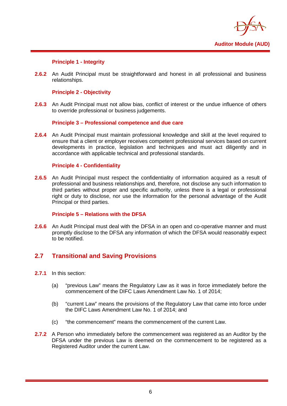

#### **Principle 1 - Integrity**

**2.6.2** An Audit Principal must be straightforward and honest in all professional and business relationships.

#### **Principle 2 - Objectivity**

**2.6.3** An Audit Principal must not allow bias, conflict of interest or the undue influence of others to override professional or business judgements.

#### **Principle 3 – Professional competence and due care**

**2.6.4** An Audit Principal must maintain professional knowledge and skill at the level required to ensure that a client or employer receives competent professional services based on current developments in practice, legislation and techniques and must act diligently and in accordance with applicable technical and professional standards.

#### **Principle 4 - Confidentiality**

**2.6.5** An Audit Principal must respect the confidentiality of information acquired as a result of professional and business relationships and, therefore, not disclose any such information to third parties without proper and specific authority, unless there is a legal or professional right or duty to disclose, nor use the information for the personal advantage of the Audit Principal or third parties.

#### **Principle 5 – Relations with the DFSA**

**2.6.6** An Audit Principal must deal with the DFSA in an open and co-operative manner and must promptly disclose to the DFSA any information of which the DFSA would reasonably expect to be notified.

#### <span id="page-8-0"></span>**2.7 Transitional and Saving Provisions**

- **2.7.1** In this section:
	- (a) "previous Law" means the Regulatory Law as it was in force immediately before the commencement of the DIFC Laws Amendment Law No. 1 of 2014;
	- (b) "current Law" means the provisions of the Regulatory Law that came into force under the DIFC Laws Amendment Law No. 1 of 2014; and
	- (c) "the commencement" means the commencement of the current Law.
- **2.7.2** A Person who immediately before the commencement was registered as an Auditor by the DFSA under the previous Law is deemed on the commencement to be registered as a Registered Auditor under the current Law.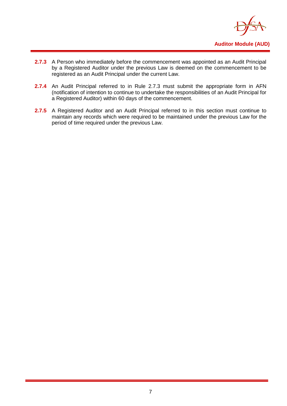

- **2.7.3** A Person who immediately before the commencement was appointed as an Audit Principal by a Registered Auditor under the previous Law is deemed on the commencement to be registered as an Audit Principal under the current Law.
- **2.7.4** An Audit Principal referred to in Rule 2.7.3 must submit the appropriate form in AFN (notification of intention to continue to undertake the responsibilities of an Audit Principal for a Registered Auditor) within 60 days of the commencement.
- 2.7.5 A Registered Auditor and an Audit Principal referred to in this section must continue to maintain any records which were required to be maintained under the previous Law for the period of time required under the previous Law.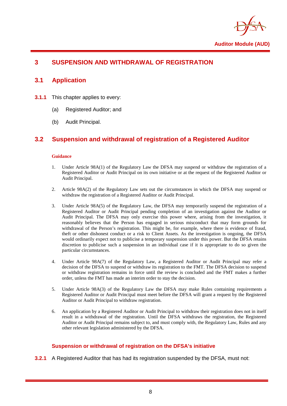

## <span id="page-10-1"></span><span id="page-10-0"></span>**3 SUSPENSION AND WITHDRAWAL OF REGISTRATION**

## **3.1 Application**

- **3.1.1** This chapter applies to every:
	- (a) Registered Auditor; and
	- (b) Audit Principal.

## <span id="page-10-2"></span>**3.2 Suspension and withdrawal of registration of a Registered Auditor**

#### **Guidance**

- 1. Under Article 98A(1) of the Regulatory Law the DFSA may suspend or withdraw the registration of a Registered Auditor or Audit Principal on its own initiative or at the request of the Registered Auditor or Audit Principal.
- 2. Article 98A(2) of the Regulatory Law sets out the circumstances in which the DFSA may suspend or withdraw the registration of a Registered Auditor or Audit Principal.
- 3. Under Article 98A(5) of the Regulatory Law, the DFSA may temporarily suspend the registration of a Registered Auditor or Audit Principal pending completion of an investigation against the Auditor or Audit Principal. The DFSA may only exercise this power where, arising from the investigation, it reasonably believes that the Person has engaged in serious misconduct that may form grounds for withdrawal of the Person's registration. This might be, for example, where there is evidence of fraud, theft or other dishonest conduct or a risk to Client Assets. As the investigation is ongoing, the DFSA would ordinarily expect not to publicise a temporary suspension under this power. But the DFSA retains discretion to publicise such a suspension in an individual case if it is appropriate to do so given the particular circumstances.
- 4. Under Article 98A(7) of the Regulatory Law, a Registered Auditor or Audit Principal may refer a decision of the DFSA to suspend or withdraw its registration to the FMT. The DFSA decision to suspend or withdraw registration remains in force until the review is concluded and the FMT makes a further order, unless the FMT has made an interim order to stay the decision.
- 5. Under Article 98A(3) of the Regulatory Law the DFSA may make Rules containing requirements a Registered Auditor or Audit Principal must meet before the DFSA will grant a request by the Registered Auditor or Audit Principal to withdraw registration.
- 6. An application by a Registered Auditor or Audit Principal to withdraw their registration does not in itself result in a withdrawal of the registration. Until the DFSA withdraws the registration, the Registered Auditor or Audit Principal remains subject to, and must comply with, the Regulatory Law, Rules and any other relevant legislation administered by the DFSA.

#### **Suspension or withdrawal of registration on the DFSA's initiative**

**3.2.1** A Registered Auditor that has had its registration suspended by the DFSA, must not: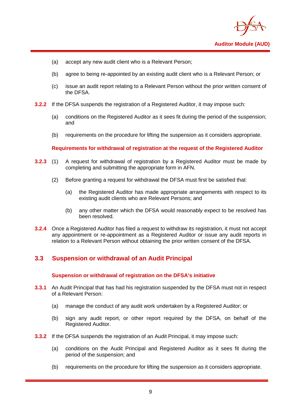

- (a) accept any new audit client who is a Relevant Person;
- (b) agree to being re-appointed by an existing audit client who is a Relevant Person; or
- (c) issue an audit report relating to a Relevant Person without the prior written consent of the DFSA.
- **3.2.2** If the DFSA suspends the registration of a Registered Auditor, it may impose such:
	- (a) conditions on the Registered Auditor as it sees fit during the period of the suspension; and
	- (b) requirements on the procedure for lifting the suspension as it considers appropriate.

#### **Requirements for withdrawal of registration at the request of the Registered Auditor**

- **3.2.3** (1) A request for withdrawal of registration by a Registered Auditor must be made by completing and submitting the appropriate form in AFN.
	- (2) Before granting a request for withdrawal the DFSA must first be satisfied that:
		- (a) the Registered Auditor has made appropriate arrangements with respect to its existing audit clients who are Relevant Persons; and
		- (b) any other matter which the DFSA would reasonably expect to be resolved has been resolved.
- **3.2.4** Once a Registered Auditor has filed a request to withdraw its registration, it must not accept any appointment or re-appointment as a Registered Auditor or issue any audit reports in relation to a Relevant Person without obtaining the prior written consent of the DFSA.

## <span id="page-11-0"></span>**3.3 Suspension or withdrawal of an Audit Principal**

#### **Suspension or withdrawal of registration on the DFSA's initiative**

- **3.3.1** An Audit Principal that has had his registration suspended by the DFSA must not in respect of a Relevant Person:
	- (a) manage the conduct of any audit work undertaken by a Registered Auditor; or
	- (b) sign any audit report, or other report required by the DFSA, on behalf of the Registered Auditor.
- **3.3.2** If the DFSA suspends the registration of an Audit Principal, it may impose such:
	- (a) conditions on the Audit Principal and Registered Auditor as it sees fit during the period of the suspension; and
	- (b) requirements on the procedure for lifting the suspension as it considers appropriate.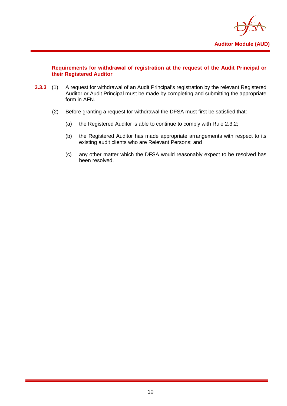

#### **Requirements for withdrawal of registration at the request of the Audit Principal or their Registered Auditor**

- **3.3.3** (1) A request for withdrawal of an Audit Principal's registration by the relevant Registered Auditor or Audit Principal must be made by completing and submitting the appropriate form in AFN.
	- (2) Before granting a request for withdrawal the DFSA must first be satisfied that:
		- (a) the Registered Auditor is able to continue to comply with Rule 2.3.2;
		- (b) the Registered Auditor has made appropriate arrangements with respect to its existing audit clients who are Relevant Persons; and
		- (c) any other matter which the DFSA would reasonably expect to be resolved has been resolved.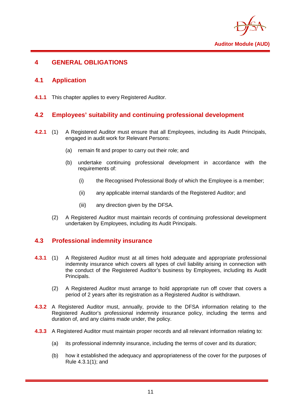

## <span id="page-13-1"></span><span id="page-13-0"></span>**4 GENERAL OBLIGATIONS**

## **4.1 Application**

<span id="page-13-2"></span>**4.1.1** This chapter applies to every Registered Auditor.

## **4.2 Employees' suitability and continuing professional development**

- **4.2.1** (1) A Registered Auditor must ensure that all Employees, including its Audit Principals, engaged in audit work for Relevant Persons:
	- (a) remain fit and proper to carry out their role; and
	- (b) undertake continuing professional development in accordance with the requirements of:
		- (i) the Recognised Professional Body of which the Employee is a member;
		- (ii) any applicable internal standards of the Registered Auditor; and
		- (iii) any direction given by the DFSA.
	- (2) A Registered Auditor must maintain records of continuing professional development undertaken by Employees, including its Audit Principals.

## <span id="page-13-3"></span>**4.3 Professional indemnity insurance**

- **4.3.1** (1) A Registered Auditor must at all times hold adequate and appropriate professional indemnity insurance which covers all types of civil liability arising in connection with the conduct of the Registered Auditor's business by Employees, including its Audit Principals.
	- (2) A Registered Auditor must arrange to hold appropriate run off cover that covers a period of 2 years after its registration as a Registered Auditor is withdrawn.
- **4.3.2** A Registered Auditor must, annually, provide to the DFSA information relating to the Registered Auditor's professional indemnity insurance policy, including the terms and duration of, and any claims made under, the policy.
- **4.3.3** A Registered Auditor must maintain proper records and all relevant information relating to:
	- (a) its professional indemnity insurance, including the terms of cover and its duration;
	- (b) how it established the adequacy and appropriateness of the cover for the purposes of Rule 4.3.1(1); and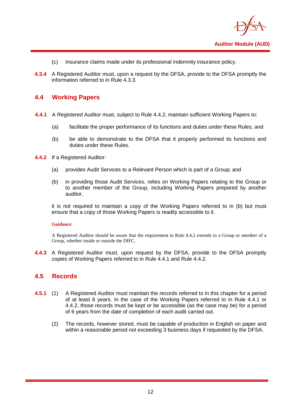

- (c) insurance claims made under its professional indemnity insurance policy.
- **4.3.4** A Registered Auditor must, upon a request by the DFSA, provide to the DFSA promptly the information referred to in Rule 4.3.3.

#### <span id="page-14-0"></span>**4.4 Working Papers**

- **4.4.1** A Registered Auditor must, subject to Rule 4.4.2, maintain sufficient Working Papers to:
	- (a) facilitate the proper performance of its functions and duties under these Rules; and
	- (b) be able to demonstrate to the DFSA that it properly performed its functions and duties under these Rules.
- **4.4.2** If a Registered Auditor:
	- (a) provides Audit Services to a Relevant Person which is part of a Group; and
	- (b) in providing those Audit Services, relies on Working Papers relating to the Group or to another member of the Group, including Working Papers prepared by another auditor,

it is not required to maintain a copy of the Working Papers referred to in (b) but must ensure that a copy of those Working Papers is readily accessible to it.

#### **Guidance**

A Registered Auditor should be aware that the requirement in Rule 4.4.2 extends to a Group or member of a Group, whether inside or outside the DIFC.

<span id="page-14-1"></span>**4.4.3** A Registered Auditor must, upon request by the DFSA, provide to the DFSA promptly copies of Working Papers referred to in Rule 4.4.1 and Rule 4.4.2.

#### **4.5 Records**

- **4.5.1** (1) A Registered Auditor must maintain the records referred to in this chapter for a period of at least 6 years. In the case of the Working Papers referred to in Rule 4.4.1 or 4.4.2, those records must be kept or be accessible (as the case may be) for a period of 6 years from the date of completion of each audit carried out.
	- (2) The records, however stored, must be capable of production in English on paper and within a reasonable period not exceeding 3 business days if requested by the DFSA.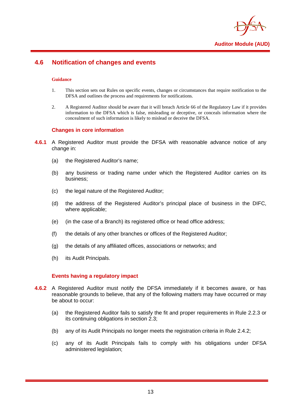

## <span id="page-15-0"></span>**4.6 Notification of changes and events**

#### **Guidance**

- 1. This section sets out Rules on specific events, changes or circumstances that require notification to the DFSA and outlines the process and requirements for notifications.
- 2. A Registered Auditor should be aware that it will breach Article 66 of the Regulatory Law if it provides information to the DFSA which is false, misleading or deceptive, or conceals information where the concealment of such information is likely to mislead or deceive the DFSA.

#### **Changes in core information**

- **4.6.1** A Registered Auditor must provide the DFSA with reasonable advance notice of any change in:
	- (a) the Registered Auditor's name;
	- (b) any business or trading name under which the Registered Auditor carries on its business;
	- (c) the legal nature of the Registered Auditor;
	- (d) the address of the Registered Auditor's principal place of business in the DIFC, where applicable;
	- (e) (in the case of a Branch) its registered office or head office address;
	- (f) the details of any other branches or offices of the Registered Auditor;
	- (g) the details of any affiliated offices, associations or networks; and
	- (h) its Audit Principals.

#### **Events having a regulatory impact**

- **4.6.2** A Registered Auditor must notify the DFSA immediately if it becomes aware, or has reasonable grounds to believe, that any of the following matters may have occurred or may be about to occur:
	- (a) the Registered Auditor fails to satisfy the fit and proper requirements in Rule 2.2.3 or its continuing obligations in section 2.3;
	- (b) any of its Audit Principals no longer meets the registration criteria in Rule 2.4.2;
	- (c) any of its Audit Principals fails to comply with his obligations under DFSA administered legislation;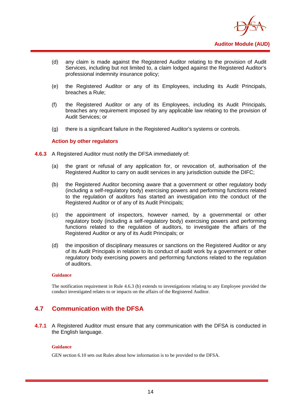

- (d) any claim is made against the Registered Auditor relating to the provision of Audit Services, including but not limited to, a claim lodged against the Registered Auditor's professional indemnity insurance policy;
- (e) the Registered Auditor or any of its Employees, including its Audit Principals, breaches a Rule;
- (f) the Registered Auditor or any of its Employees, including its Audit Principals, breaches any requirement imposed by any applicable law relating to the provision of Audit Services; or
- (g) there is a significant failure in the Registered Auditor's systems or controls.

#### **Action by other regulators**

- **4.6.3** A Registered Auditor must notify the DFSA immediately of:
	- (a) the grant or refusal of any application for, or revocation of, authorisation of the Registered Auditor to carry on audit services in any jurisdiction outside the DIFC;
	- (b) the Registered Auditor becoming aware that a government or other regulatory body (including a self-regulatory body) exercising powers and performing functions related to the regulation of auditors has started an investigation into the conduct of the Registered Auditor or of any of its Audit Principals;
	- (c) the appointment of inspectors, however named, by a governmental or other regulatory body (including a self-regulatory body) exercising powers and performing functions related to the regulation of auditors, to investigate the affairs of the Registered Auditor or any of its Audit Principals; or
	- (d) the imposition of disciplinary measures or sanctions on the Registered Auditor or any of its Audit Principals in relation to its conduct of audit work by a government or other regulatory body exercising powers and performing functions related to the regulation of auditors.

#### **Guidance**

The notification requirement in Rule 4.6.3 (b) extends to investigations relating to any Employee provided the conduct investigated relates to or impacts on the affairs of the Registered Auditor.

#### <span id="page-16-0"></span>**4.7 Communication with the DFSA**

**4.7.1** A Registered Auditor must ensure that any communication with the DFSA is conducted in the English language.

#### **Guidance**

GEN section 6.10 sets out Rules about how information is to be provided to the DFSA.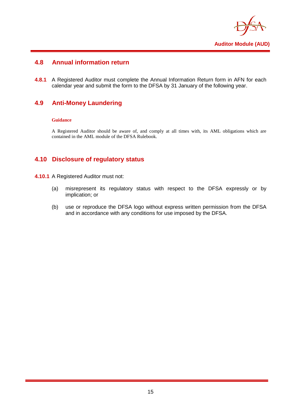

## <span id="page-17-0"></span>**4.8 Annual information return**

**4.8.1** A Registered Auditor must complete the Annual Information Return form in AFN for each calendar year and submit the form to the DFSA by 31 January of the following year.

## <span id="page-17-1"></span>**4.9 Anti-Money Laundering**

#### **Guidance**

A Registered Auditor should be aware of, and comply at all times with, its AML obligations which are contained in the AML module of the DFSA Rulebook.

#### <span id="page-17-2"></span>**4.10 Disclosure of regulatory status**

- **4.10.1** A Registered Auditor must not:
	- (a) misrepresent its regulatory status with respect to the DFSA expressly or by implication; or
	- (b) use or reproduce the DFSA logo without express written permission from the DFSA and in accordance with any conditions for use imposed by the DFSA.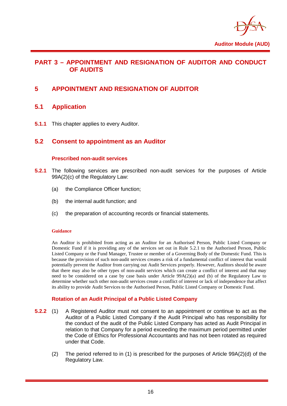

#### <span id="page-18-0"></span>**PART 3 – APPOINTMENT AND RESIGNATION OF AUDITOR AND CONDUCT OF AUDITS**

## <span id="page-18-2"></span><span id="page-18-1"></span>**5 APPOINTMENT AND RESIGNATION OF AUDITOR**

## **5.1 Application**

<span id="page-18-3"></span>**5.1.1** This chapter applies to every Auditor.

#### **5.2 Consent to appointment as an Auditor**

#### **Prescribed non-audit services**

- **5.2.1** The following services are prescribed non-audit services for the purposes of Article 99A(2)(c) of the Regulatory Law:
	- (a) the Compliance Officer function;
	- (b) the internal audit function; and
	- (c) the preparation of accounting records or financial statements.

#### **Guidance**

An Auditor is prohibited from acting as an Auditor for an Authorised Person, Public Listed Company or Domestic Fund if it is providing any of the services set out in Rule 5.2.1 to the Authorised Person, Public Listed Company or the Fund Manager, Trustee or member of a Governing Body of the Domestic Fund. This is because the provision of such non-audit services creates a risk of a fundamental conflict of interest that would potentially prevent the Auditor from carrying out Audit Services properly. However, Auditors should be aware that there may also be other types of non-audit services which can create a conflict of interest and that may need to be considered on a case by case basis under Article 99A(2)(a) and (b) of the Regulatory Law to determine whether such other non-audit services create a conflict of interest or lack of independence that affect its ability to provide Audit Services to the Authorised Person, Public Listed Company or Domestic Fund.

#### **Rotation of an Audit Principal of a Public Listed Company**

- **5.2.2** (1) A Registered Auditor must not consent to an appointment or continue to act as the Auditor of a Public Listed Company if the Audit Principal who has responsibility for the conduct of the audit of the Public Listed Company has acted as Audit Principal in relation to that Company for a period exceeding the maximum period permitted under the Code of Ethics for Professional Accountants and has not been rotated as required under that Code.
	- (2) The period referred to in (1) is prescribed for the purposes of Article 99A(2)(d) of the Regulatory Law.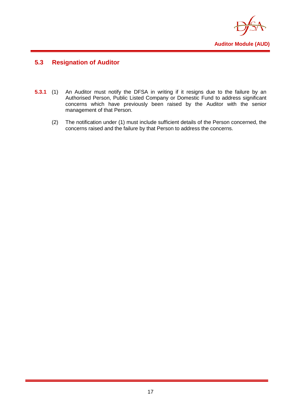

## <span id="page-19-0"></span>**5.3 Resignation of Auditor**

- **5.3.1** (1) An Auditor must notify the DFSA in writing if it resigns due to the failure by an Authorised Person, Public Listed Company or Domestic Fund to address significant concerns which have previously been raised by the Auditor with the senior management of that Person.
	- (2) The notification under (1) must include sufficient details of the Person concerned, the concerns raised and the failure by that Person to address the concerns.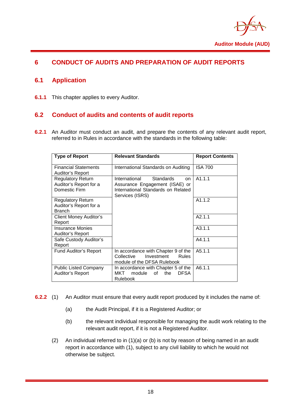

## <span id="page-20-1"></span><span id="page-20-0"></span>**6 CONDUCT OF AUDITS AND PREPARATION OF AUDIT REPORTS**

## **6.1 Application**

<span id="page-20-2"></span>**6.1.1** This chapter applies to every Auditor.

## **6.2 Conduct of audits and contents of audit reports**

**6.2.1** An Auditor must conduct an audit, and prepare the contents of any relevant audit report, referred to in Rules in accordance with the standards in the following table:

| <b>Type of Report</b>                                               | <b>Relevant Standards</b>                                                                                                                     | <b>Report Contents</b> |
|---------------------------------------------------------------------|-----------------------------------------------------------------------------------------------------------------------------------------------|------------------------|
| <b>Financial Statements</b><br>Auditor's Report                     | International Standards on Auditing                                                                                                           | <b>ISA 700</b>         |
| <b>Regulatory Return</b><br>Auditor's Report for a<br>Domestic Firm | <b>Standards</b><br>International<br><sub>on</sub><br>Assurance Engagement (ISAE) or<br>International Standards on Related<br>Services (ISRS) | A1.1.1                 |
| <b>Regulatory Return</b><br>Auditor's Report for a<br><b>Branch</b> |                                                                                                                                               | A1.1.2                 |
| <b>Client Money Auditor's</b><br>Report                             |                                                                                                                                               | A2.1.1                 |
| <b>Insurance Monies</b><br>Auditor's Report                         |                                                                                                                                               | A3.1.1                 |
| Safe Custody Auditor's<br>Report                                    |                                                                                                                                               | A4.1.1                 |
| <b>Fund Auditor's Report</b>                                        | In accordance with Chapter 9 of the<br>Collective<br>Investment<br><b>Rules</b><br>module of the DFSA Rulebook                                | A5.1.1                 |
| <b>Public Listed Company</b><br>Auditor's Report                    | In accordance with Chapter 5 of the<br>module<br>of<br>the<br>MKT<br><b>DFSA</b><br>Rulebook                                                  | A6.1.1                 |

- **6.2.2** (1) An Auditor must ensure that every audit report produced by it includes the name of:
	- (a) the Audit Principal, if it is a Registered Auditor; or
	- (b) the relevant individual responsible for managing the audit work relating to the relevant audit report, if it is not a Registered Auditor.
	- (2) An individual referred to in (1)(a) or (b) is not by reason of being named in an audit report in accordance with (1), subject to any civil liability to which he would not otherwise be subject.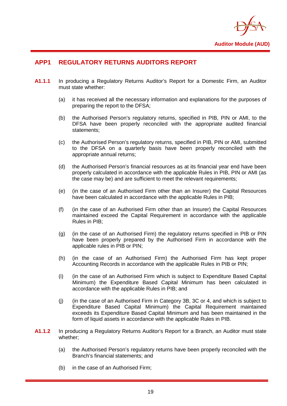

## <span id="page-21-0"></span>**APP1 REGULATORY RETURNS AUDITORS REPORT**

- **A1.1.1** In producing a Regulatory Returns Auditor's Report for a Domestic Firm, an Auditor must state whether:
	- (a) it has received all the necessary information and explanations for the purposes of preparing the report to the DFSA;
	- (b) the Authorised Person's regulatory returns, specified in PIB, PIN or AMI, to the DFSA have been properly reconciled with the appropriate audited financial statements;
	- (c) the Authorised Person's regulatory returns, specified in PIB, PIN or AMI, submitted to the DFSA on a quarterly basis have been properly reconciled with the appropriate annual returns;
	- (d) the Authorised Person's financial resources as at its financial year end have been properly calculated in accordance with the applicable Rules in PIB, PIN or AMI (as the case may be) and are sufficient to meet the relevant requirements;
	- (e) (in the case of an Authorised Firm other than an Insurer) the Capital Resources have been calculated in accordance with the applicable Rules in PIB;
	- (f) (in the case of an Authorised Firm other than an Insurer) the Capital Resources maintained exceed the Capital Requirement in accordance with the applicable Rules in PIB;
	- (g) (in the case of an Authorised Firm) the regulatory returns specified in PIB or PIN have been properly prepared by the Authorised Firm in accordance with the applicable rules in PIB or PIN;
	- (h) (in the case of an Authorised Firm) the Authorised Firm has kept proper Accounting Records in accordance with the applicable Rules in PIB or PIN;
	- (i) (in the case of an Authorised Firm which is subject to Expenditure Based Capital Minimum) the Expenditure Based Capital Minimum has been calculated in accordance with the applicable Rules in PIB; and
	- (j) (in the case of an Authorised Firm in Category 3B, 3C or 4, and which is subject to Expenditure Based Capital Minimum) the Capital Requirement maintained exceeds its Expenditure Based Capital Minimum and has been maintained in the form of liquid assets in accordance with the applicable Rules in PIB.
- **A1.1.2** In producing a Regulatory Returns Auditor's Report for a Branch, an Auditor must state whether;
	- (a) the Authorised Person's regulatory returns have been properly reconciled with the Branch's financial statements; and
	- (b) in the case of an Authorised Firm;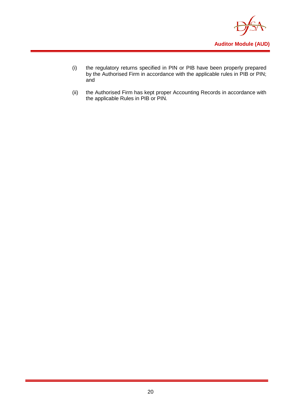

- (i) the regulatory returns specified in PIN or PIB have been properly prepared by the Authorised Firm in accordance with the applicable rules in PIB or PIN; and
- (ii) the Authorised Firm has kept proper Accounting Records in accordance with the applicable Rules in PIB or PIN.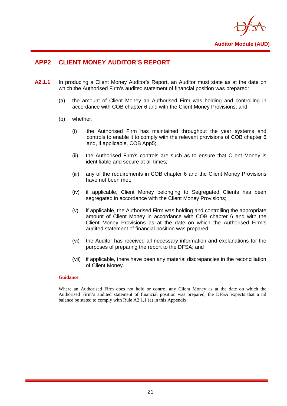

## <span id="page-23-0"></span>**APP2 CLIENT MONEY AUDITOR'S REPORT**

- **A2.1.1** In producing a Client Money Auditor's Report, an Auditor must state as at the date on which the Authorised Firm's audited statement of financial position was prepared:
	- (a) the amount of Client Money an Authorised Firm was holding and controlling in accordance with COB chapter 6 and with the Client Money Provisions; and
	- (b) whether:
		- (i) the Authorised Firm has maintained throughout the year systems and controls to enable it to comply with the relevant provisions of COB chapter 6 and, if applicable, COB App5;
		- (ii) the Authorised Firm's controls are such as to ensure that Client Money is identifiable and secure at all times;
		- (iii) any of the requirements in COB chapter 6 and the Client Money Provisions have not been met;
		- (iv) if applicable, Client Money belonging to Segregated Clients has been segregated in accordance with the Client Money Provisions:
		- (v) if applicable, the Authorised Firm was holding and controlling the appropriate amount of Client Money in accordance with COB chapter 6 and with the Client Money Provisions as at the date on which the Authorised Firm's audited statement of financial position was prepared;
		- (vi) the Auditor has received all necessary information and explanations for the purposes of preparing the report to the DFSA; and
		- (vii) if applicable, there have been any material discrepancies in the reconciliation of Client Money.

#### **Guidance**

Where an Authorised Firm does not hold or control any Client Money as at the date on which the Authorised Firm's audited statement of financial position was prepared, the DFSA expects that a nil balance be stated to comply with Rule A2.1.1 (a) in this Appendix.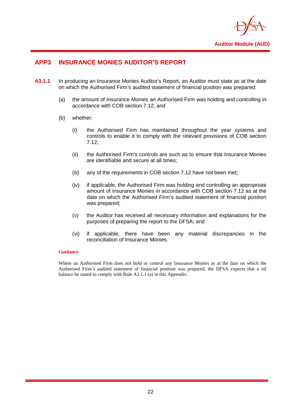

## <span id="page-24-0"></span>**APP3 INSURANCE MONIES AUDITOR'S REPORT**

- **A3.1.1** In producing an Insurance Monies Auditor's Report, an Auditor must state as at the date on which the Authorised Firm's audited statement of financial position was prepared:
	- (a) the amount of Insurance Monies an Authorised Firm was holding and controlling in accordance with COB section 7.12; and
	- (b) whether:
		- (i) the Authorised Firm has maintained throughout the year systems and controls to enable it to comply with the relevant provisions of COB section 7.12;
		- (ii) the Authorised Firm's controls are such as to ensure that Insurance Monies are identifiable and secure at all times;
		- (iii) any of the requirements in COB section 7.12 have not been met;
		- (iv) if applicable, the Authorised Firm was holding and controlling an appropriate amount of Insurance Monies in accordance with COB section 7.12 as at the date on which the Authorised Firm's audited statement of financial position was prepared;
		- (v) the Auditor has received all necessary information and explanations for the purposes of preparing the report to the DFSA; and
		- (vi) if applicable, there have been any material discrepancies in the reconciliation of Insurance Monies.

#### **Guidance**

Where an Authorised Firm does not hold or control any Insurance Monies as at the date on which the Authorised Firm's audited statement of financial position was prepared, the DFSA expects that a nil balance be stated to comply with Rule A3.1.1 (a) in this Appendix.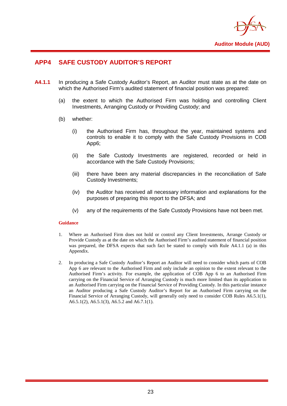

## <span id="page-25-0"></span>**APP4 SAFE CUSTODY AUDITOR'S REPORT**

- **A4.1.1** In producing a Safe Custody Auditor's Report, an Auditor must state as at the date on which the Authorised Firm's audited statement of financial position was prepared:
	- (a) the extent to which the Authorised Firm was holding and controlling Client Investments, Arranging Custody or Providing Custody; and
	- (b) whether:
		- (i) the Authorised Firm has, throughout the year, maintained systems and controls to enable it to comply with the Safe Custody Provisions in COB App6;
		- (ii) the Safe Custody Investments are registered, recorded or held in accordance with the Safe Custody Provisions;
		- (iii) there have been any material discrepancies in the reconciliation of Safe Custody Investments;
		- (iv) the Auditor has received all necessary information and explanations for the purposes of preparing this report to the DFSA; and
		- (v) any of the requirements of the Safe Custody Provisions have not been met.

#### **Guidance**

- 1. Where an Authorised Firm does not hold or control any Client Investments, Arrange Custody or Provide Custody as at the date on which the Authorised Firm's audited statement of financial position was prepared, the DFSA expects that such fact be stated to comply with Rule A4.1.1 (a) in this Appendix.
- 2. In producing a Safe Custody Auditor's Report an Auditor will need to consider which parts of COB App 6 are relevant to the Authorised Firm and only include an opinion to the extent relevant to the Authorised Firm's activity. For example, the application of COB App 6 to an Authorised Firm carrying on the Financial Service of Arranging Custody is much more limited than its application to an Authorised Firm carrying on the Financial Service of Providing Custody. In this particular instance an Auditor producing a Safe Custody Auditor's Report for an Authorised Firm carrying on the Financial Service of Arranging Custody, will generally only need to consider COB Rules A6.5.1(1), A6.5.1(2), A6.5.1(3), A6.5.2 and A6.7.1(1).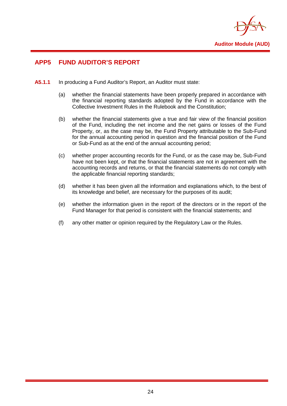

## <span id="page-26-0"></span>**APP5 FUND AUDITOR'S REPORT**

- **A5.1.1** In producing a Fund Auditor's Report, an Auditor must state:
	- (a) whether the financial statements have been properly prepared in accordance with the financial reporting standards adopted by the Fund in accordance with the Collective Investment Rules in the Rulebook and the Constitution;
	- (b) whether the financial statements give a true and fair view of the financial position of the Fund, including the net income and the net gains or losses of the Fund Property, or, as the case may be, the Fund Property attributable to the Sub-Fund for the annual accounting period in question and the financial position of the Fund or Sub-Fund as at the end of the annual accounting period;
	- (c) whether proper accounting records for the Fund, or as the case may be, Sub-Fund have not been kept, or that the financial statements are not in agreement with the accounting records and returns, or that the financial statements do not comply with the applicable financial reporting standards;
	- (d) whether it has been given all the information and explanations which, to the best of its knowledge and belief, are necessary for the purposes of its audit;
	- (e) whether the information given in the report of the directors or in the report of the Fund Manager for that period is consistent with the financial statements; and
	- (f) any other matter or opinion required by the Regulatory Law or the Rules.